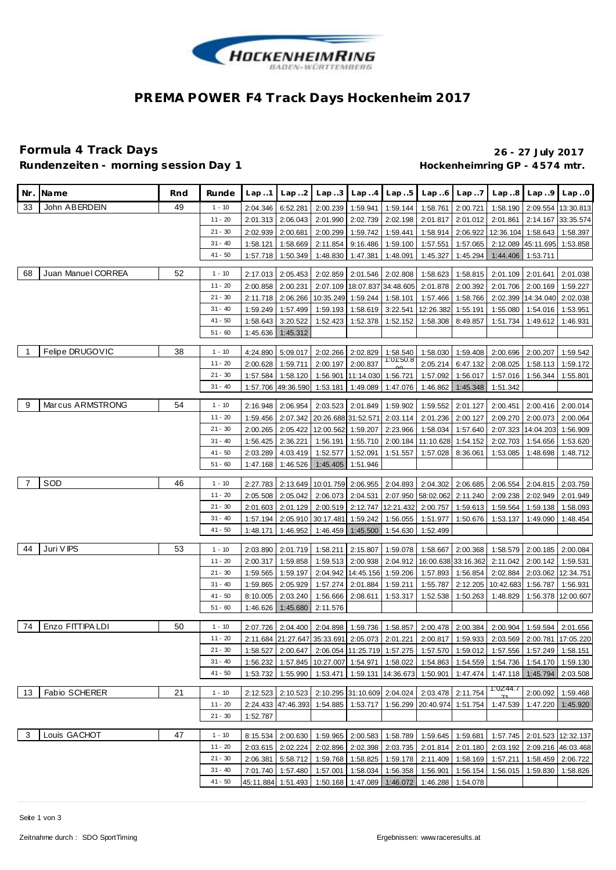

## **PREMA POWER F4 Track Days Hockenheim 2017**

# **Formula 4 Track Days 26 - 27 July 2017**

Rundenzeiten - morning session Day 1 **Bundenzeiten - morning session Day 1 Hockenheimring GP** - 4574 mtr.

|                | Nr. IName          | Rnd | Runde                  | Lap.1    | Lap.2               | Lap.3     | Lap4                                           | Lap.5              | Lap6                                                  | Lap.7             | Lap.8                                                                                                                                               | Lap.9                        | Lap.0                       |
|----------------|--------------------|-----|------------------------|----------|---------------------|-----------|------------------------------------------------|--------------------|-------------------------------------------------------|-------------------|-----------------------------------------------------------------------------------------------------------------------------------------------------|------------------------------|-----------------------------|
| 33             | John ABERDEIN      | 49  | $1 - 10$               | 2:04.346 | 6:52.281            | 2:00.239  | 1:59.941                                       | 1:59.144           | 1:58.761                                              | 2:00.721          |                                                                                                                                                     |                              | 1:58.190 2:09.554 13:30.813 |
|                |                    |     | $11 - 20$              | 2:01.313 | 2:06.043            | 2:01.990  | 2:02.739                                       | 2:02.198           | 2:01.817                                              | 2:01.012          | 2:01.861                                                                                                                                            |                              | 2:14.167 33:35.574          |
|                |                    |     | $21 - 30$              | 2:02.939 | 2:00.681            | 2:00.299  | 1:59.742                                       | 1:59.441           | 1:58.914                                              | 2:06.922          | 12:36.104 1:58.643                                                                                                                                  |                              | 1:58.397                    |
|                |                    |     | $31 - 40$              | 1:58.121 | 1:58.669            | 2:11.854  | 9:16.486                                       | 1:59.100           | 1:57.551                                              | 1:57.065          |                                                                                                                                                     | 2:12.089 45:11.695           | 1:53.858                    |
|                |                    |     | $41 - 50$              | 1:57.718 | 1:50.349            | 1:48.830  | 1:47.381                                       | 1:48.091           | 1:45.327                                              | 1:45.294          | 1:44.406                                                                                                                                            | 1:53.711                     |                             |
| 68             | Juan Manuel CORREA | 52  |                        |          |                     |           |                                                |                    |                                                       |                   |                                                                                                                                                     |                              |                             |
|                |                    |     | $1 - 10$               | 2:17.013 | 2:05.453            | 2:02.859  | 2:01.546                                       | 2:02.808           | 1:58.623                                              | 1:58.815          | 2:01.109                                                                                                                                            | 2:01.641                     | 2:01.038                    |
|                |                    |     | $11 - 20$              | 2:00.858 | 2:00.231            |           | 2:07.109 18:07.837 34:48.605                   |                    | 2:01.878                                              | 2:00.392          | 2:01.706                                                                                                                                            | 2:00.169                     | 1:59.227                    |
|                |                    |     | $21 - 30$              | 2:11.718 | 2:06.266            | 10:35.249 | 1:59.244                                       | 1:58.101           | 1:57.466                                              | 1:58.766          |                                                                                                                                                     | 2:02.399 14:34.040 2:02.038  |                             |
|                |                    |     | $31 - 40$              | 1:59.249 | 1:57.499            | 1:59.193  | 1:58.619                                       | 3:22.541           | 12:26.382                                             | 1:55.191          | 1:55.080                                                                                                                                            | 1:54.016                     | 1:53.951                    |
|                |                    |     | $41 - 50$              | 1:58.643 | 3:20.522            | 1:52.423  | 1:52.378                                       | 1:52.152           | 1:58.308                                              | 8:49.857          | 1:51.734                                                                                                                                            | 1:49.612                     | 1:46.931                    |
|                |                    |     | $51 - 60$              | 1:45.636 | 1:45.312            |           |                                                |                    |                                                       |                   |                                                                                                                                                     |                              |                             |
| $\overline{1}$ | Felipe DRUGOVIC    | 38  | $1 - 10$               | 4:24.890 | 5:09.017            | 2:02.266  | 2:02.829                                       | 1:58.540           | 1:58.030                                              | 1:59.408          | 2:00.696                                                                                                                                            | 2:00.207                     | 1:59.542                    |
|                |                    |     | $11 - 20$              | 2:00.628 | 1:59.711            | 2:00.197  | 2:00.837                                       | 1:01:50.8          | 2:05.214                                              | 6:47.132          | 2:08.025                                                                                                                                            | 1:58.113                     | 1:59.172                    |
|                |                    |     | $21 - 30$              | 1:57.584 | 1:58.120            | 1:56.901  | 11:14.030 1:56.721                             |                    | 1:57.092                                              | 1:56.017          | 1:57.016                                                                                                                                            | 1:56.344                     | 1:55.801                    |
|                |                    |     | $31 - 40$              |          | 1:57.706 49:36.590  | 1:53.181  | 1:49.089                                       | 1:47.076           | 1:46.862                                              | 1:45.348          | 1:51.342                                                                                                                                            |                              |                             |
|                |                    |     |                        |          |                     |           |                                                |                    |                                                       |                   |                                                                                                                                                     |                              |                             |
| 9              | Marcus ARMSTRONG   | 54  | $1 - 10$               | 2:16.948 | 2:06.954            | 2:03.523  | 2:01.849                                       | 1:59.902           | 1:59.552                                              | 2:01.127          |                                                                                                                                                     | 2:00.451 2:00.416            | 2:00.014                    |
|                |                    |     | $11 - 20$              |          | 1:59.456 2:07.342   |           | 20:26.688 31:52.571 2:03.114                   |                    | 2:01.236                                              | 2:00.127          |                                                                                                                                                     | 2:09.270 2:00.073            | 2:00.064                    |
|                |                    |     | $21 - 30$              | 2:00.265 | 2:05.422            | 12:00.562 | 1:59.207                                       | 2:23.966           | 1:58.034                                              | 1:57.640          | 2:07.323                                                                                                                                            | 14:04.203                    | 1:56.909                    |
|                |                    |     | $31 - 40$              | 1:56.425 | 2:36.221            | 1:56.191  | 1:55.710                                       | 2:00.184           | 11:10.628                                             | 1:54.152          | 2:02.703                                                                                                                                            | 1:54.656                     | 1:53.620                    |
|                |                    |     | $41 - 50$              | 2:03.289 | 4:03.419            | 1:52.577  | 1:52.091                                       | 1:51.557           | 1:57.028                                              | 8:36.061          | 1:53.085                                                                                                                                            | 1:48.698                     | 1:48.712                    |
|                |                    |     | $51 - 60$              |          | 1:47.168 1:46.526   | 1:45.405  | 1:51.946                                       |                    |                                                       |                   |                                                                                                                                                     |                              |                             |
| - 7            | SOD                | 46  |                        |          |                     |           |                                                |                    |                                                       |                   |                                                                                                                                                     |                              |                             |
|                |                    |     | $1 - 10$<br>$11 - 20$  | 2:27.783 | 2:13.649            |           |                                                |                    | 10:01.759 2:06.955 2:04.893 2:04.302                  | 2:06.685          |                                                                                                                                                     | 2:06.554 2:04.815 2:03.759   |                             |
|                |                    |     |                        |          | 2:05.508 2:05.042   | 2:06.073  | 2:04.531                                       | 2:07.950           | 58:02.062                                             | 2:11.240          |                                                                                                                                                     | 2:09.238 2:02.949            | 2:01.949                    |
|                |                    |     | $21 - 30$              | 2:01.603 | 2:01.129            | 2:00.519  | 2:12.747                                       | 12:21.432          | 2:00.757                                              | 1:59.613          | 1:59.564                                                                                                                                            | 1:59.138                     | 1:58.093                    |
|                |                    |     | $31 - 40$<br>$41 - 50$ | 1:57.194 | 2:05.910            | 30:17.481 | 1:59.242                                       | 1:56.055           | 1:51.977                                              | 1:50.676          | 1:53.137                                                                                                                                            | 1:49.090                     | 1:48.454                    |
|                |                    |     |                        | 1:48.171 | 1:46.952            | 1:46.459  | 1:45.500                                       | 1:54.630           | 1:52.499                                              |                   |                                                                                                                                                     |                              |                             |
| 44             | Juri V IPS         | 53  | $1 - 10$               | 2:03.890 | 2:01.719            | 1:58.211  | 2:15.807                                       | 1:59.078           | 1:58.667                                              | 2:00.368          |                                                                                                                                                     | 1:58.579 2:00.185 2:00.084   |                             |
|                |                    |     | $11 - 20$              | 2:00.317 | 1:59.858            | 1:59.513  | 2:00.938                                       | 2:04.912           |                                                       |                   | 16:00.638 33:16.362   2:11.042   2:00.142                                                                                                           |                              | 1:59.531                    |
|                |                    |     | $21 - 30$              | 1:59.565 | 1:59.197            |           | 2:04.942   14:45.156   1:59.206                |                    | 1:57.893                                              | 1:56.854          |                                                                                                                                                     | 2:02.884 2:03.062 12:34.751  |                             |
|                |                    |     | $31 - 40$              | 1:59.865 | 2:05.929            | 1:57.274  | 2:01.884                                       | 1:59.211           | 1:55.787                                              | 2:12.205          | 10:42.683                                                                                                                                           | 1:56.787                     | 1:56.931                    |
|                |                    |     | $41 - 50$              | 8:10.005 | 2:03.240            | 1:56.666  | 2:08.611                                       | 1:53.317           | 1:52.538                                              | 1:50.263          | 1:48.829                                                                                                                                            | 1:56.378                     | 12:00.607                   |
|                |                    |     | $51 - 60$              |          | 1:46.626 1:45.680   | 2:11.576  |                                                |                    |                                                       |                   |                                                                                                                                                     |                              |                             |
| -74            | Enzo FITTIPA LDI   | 50  | $1 - 10$               |          |                     |           |                                                |                    |                                                       |                   |                                                                                                                                                     |                              |                             |
|                |                    |     | $11 - 20$              | 2:07.726 | 2:04.400            | 2:04.898  | 1:59.736                                       | 1:58.857           | 2:00.478                                              | 2:00.384          | 2:00.904                                                                                                                                            |                              | 1:59.594 2:01.656           |
|                |                    |     | $21 - 30$              |          |                     |           | 2:11.684 21:27.647 35:33.691 2:05.073 2:01.221 |                    |                                                       |                   | 2:00.817   1:59.933   2:03.569   2:00.781   17:05.220<br>1:58.527 2:00.647 2:06.054 11:25.719 1:57.275 1:57.570 1:59.012 1:57.556 1:57.249 1:58.151 |                              |                             |
|                |                    |     | $31 - 40$              |          |                     |           |                                                |                    |                                                       |                   |                                                                                                                                                     |                              |                             |
|                |                    |     | $41 - 50$              | 1:56.232 | 1:57.845            |           | 10:27.007 1:54.971 1:58.022                    |                    | 1:54.863                                              |                   | 1:54.559  1:54.736  1:54.170                                                                                                                        |                              | 1:59.130                    |
|                |                    |     |                        | 1:53.732 | 1:55.990            | 1:53.471  |                                                | 1:59.131 14:36.673 | 1:50.901                                              |                   | 1:47.474 1:47.118 1:45.794                                                                                                                          |                              | 2:03.508                    |
| 13             | Fabio SCHERER      | 21  | $1 - 10$               |          | 2:12.523 2:10.523   |           | 2:10.295 31:10.609 2:04.024                    |                    | 2:03.478 2:11.754                                     |                   | 1:02:44.7                                                                                                                                           | 2:00.092                     | 1:59.468                    |
|                |                    |     | $11 - 20$              |          | 2:24.433 47:46.393  |           |                                                |                    | 1:54.885   1:53.717   1:56.299   20:40.974   1:51.754 |                   | 1:47.539                                                                                                                                            | 1:47.220                     | 1:45.920                    |
|                |                    |     | $21 - 30$              | 1:52.787 |                     |           |                                                |                    |                                                       |                   |                                                                                                                                                     |                              |                             |
|                |                    |     |                        |          |                     |           |                                                |                    |                                                       |                   |                                                                                                                                                     |                              |                             |
| $\overline{3}$ | Louis GACHOT       | 47  | $1 - 10$               |          | 8:15.534 2:00.630   |           | 1:59.965 2:00.583 1:58.789                     |                    |                                                       |                   | 1:59.645 1:59.681 1:57.745 2:01.523 12:32.137                                                                                                       |                              |                             |
|                |                    |     | $11 - 20$              |          | 2:03.615   2:02.224 |           |                                                |                    |                                                       |                   | 2:02.896 2:02.398 2:03.735 2:01.814 2:01.180 2:03.192 2:09.216 46:03.468                                                                            |                              |                             |
|                |                    |     | $21 - 30$              |          | 2:06.381 5:58.712   |           |                                                |                    | 1:59.768   1:58.825   1:59.178   2:11.409   1:58.169  |                   |                                                                                                                                                     | 1:57.211  1:58.459  2:06.722 |                             |
|                |                    |     | $31 - 40$              |          | 7:01.740 1:57.480   | 1:57.001  |                                                | 1:58.034 1:56.358  |                                                       | 1:56.901 1:56.154 |                                                                                                                                                     | 1:56.015 1:59.830            | 1:58.826                    |
|                |                    |     | $41 - 50$              |          | 45:11.884 1:51.493  |           |                                                |                    | 1:50.168 1:47.089 1:46.072 1:46.288 1:54.078          |                   |                                                                                                                                                     |                              |                             |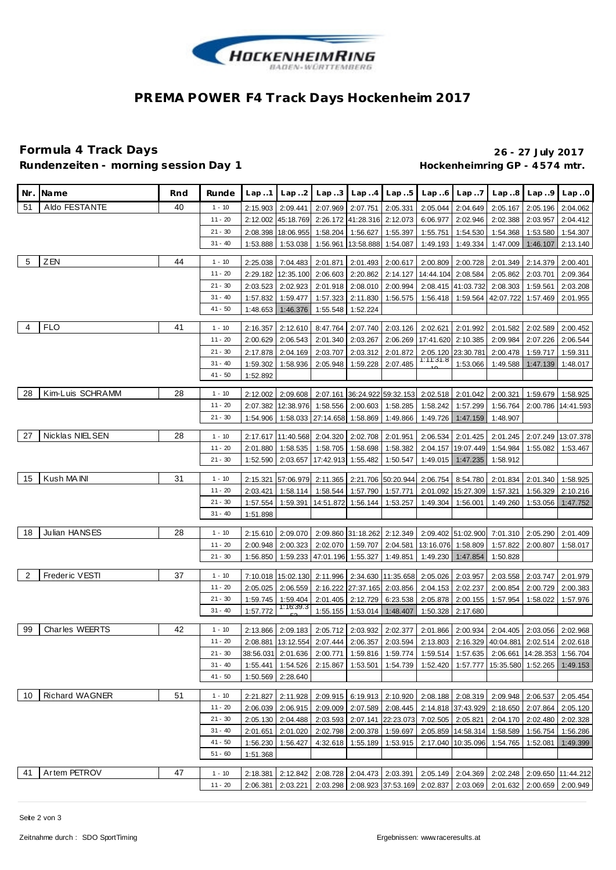

## **PREMA POWER F4 Track Days Hockenheim 2017**

### **Formula 4 Track Days 26 - 27 July 2017** Rundenzeiten - morning session Day 1 **Bundenzeiten - morning session Day 1 Hockenheimring GP** - 4574 mtr.

| Nr. | Name                  | Rnd | Runde     | Lap.1                | Lap.2                 | Lap.3              | Lap.4                      | Lap.5               | Lap.6                                         | Lap.7                | Lap.8                                                                                       | Lap.9                      | Lap.0                       |
|-----|-----------------------|-----|-----------|----------------------|-----------------------|--------------------|----------------------------|---------------------|-----------------------------------------------|----------------------|---------------------------------------------------------------------------------------------|----------------------------|-----------------------------|
| 51  | Aldo FESTANTE         | 40  | $1 - 10$  | 2:15.903             | 2:09.441              | 2:07.969           | 2:07.751                   | 2:05.331            | 2:05.044                                      | 2:04.649             | 2:05.167                                                                                    | 2:05.196                   | 2:04.062                    |
|     |                       |     | $11 - 20$ | 2:12.002             | 45:18.769             | 2:26.172           | 41:28.316                  | 2:12.073            | 6:06.977                                      | 2:02.946             | 2:02.388                                                                                    | 2:03.957                   | 2:04.412                    |
|     |                       |     | $21 - 30$ |                      | 2:08.398 18:06.955    | 1:58.204           | 1:56.627                   | 1:55.397            | 1:55.751                                      | 1:54.530             | 1:54.368                                                                                    | 1:53.580                   | 1:54.307                    |
|     |                       |     | $31 - 40$ | 1:53.888             | 1:53.038              | 1:56.961           | 13:58.888                  | 1:54.087            | 1:49.193                                      | 1:49.334             | 1:47.009                                                                                    | 1:46.107                   | 2:13.140                    |
|     |                       |     |           |                      |                       |                    |                            |                     |                                               |                      |                                                                                             |                            |                             |
| 5   | <b>ZEN</b>            | 44  | $1 - 10$  | 2:25.038             | 7:04.483              | 2:01.871           | 2:01.493                   | 2:00.617            | 2:00.809                                      | 2:00.728             |                                                                                             | 2:01.349 2:14.379          | 2:00.401                    |
|     |                       |     | $11 - 20$ |                      | 2:29.182 12:35.100    | 2:06.603           | 2:20.862                   | 2:14.127            | 14:44.104                                     | 2:08.584             | 2:05.862                                                                                    | 2:03.701                   | 2:09.364                    |
|     |                       |     | $21 - 30$ | 2:03.523             | 2:02.923              | 2:01.918           | 2:08.010                   | 2:00.994            |                                               | 2:08.415 41:03.732   | 2:08.303                                                                                    | 1:59.561                   | 2:03.208                    |
|     |                       |     | $31 - 40$ | 1:57.832             | 1:59.477              | 1:57.323           | 2:11.830                   | 1:56.575            | 1:56.418                                      | 1:59.564             | 42:07.722                                                                                   | 1:57.469                   | 2:01.955                    |
|     |                       |     | $41 - 50$ | 1:48.653             | 1:46.376              | 1:55.548           | 1:52.224                   |                     |                                               |                      |                                                                                             |                            |                             |
| 4   | <b>FLO</b>            | 41  | $1 - 10$  |                      |                       |                    |                            |                     |                                               |                      |                                                                                             |                            |                             |
|     |                       |     | 11 - 20   | 2:16.357             | 2:12.610              | 8:47.764           | 2:07.740                   |                     | 2:03.126 2:02.621                             | 2:01.992             |                                                                                             | 2:01.582 2:02.589          | 2:00.452                    |
|     |                       |     |           | 2:00.629             | 2:06.543              | 2:01.340           | 2:03.267                   | 2:06.269            | 17:41.620 2:10.385                            |                      | 2:09.984                                                                                    | 2:07.226                   | 2:06.544                    |
|     |                       |     | $21 - 30$ | 2:17.878             | 2:04.169              | 2:03.707           | 2:03.312                   | 2:01.872            | 1:11:31.8                                     | 2:05.120 23:30.781   | 2:00.478                                                                                    | 1:59.717                   | 1:59.311                    |
|     |                       |     | $31 - 40$ | 1:59.302             | 1:58.936              | 2:05.948           | 1:59.228                   | 2:07.485            |                                               | 1:53.066             | 1:49.588                                                                                    | 1:47.139                   | 1:48.017                    |
|     |                       |     | $41 - 50$ | 1:52.892             |                       |                    |                            |                     |                                               |                      |                                                                                             |                            |                             |
| 28  | Kim-Luis SCHRAMM      | 28  | $1 - 10$  | 2:12.002             | 2:09.608              | 2:07.161           |                            | 36:24.922 59:32.153 | 2:02.518                                      | 2:01.042             | 2:00.321                                                                                    | 1:59.679                   | 1:58.925                    |
|     |                       |     | $11 - 20$ | 2:07.382             | 12:38.976             | 1:58.556           | 2:00.603                   | 1:58.285            | 1:58.242                                      | 1:57.299             | 1:56.764                                                                                    | 2:00.786                   | 14:41.593                   |
|     |                       |     | $21 - 30$ | 1:54.906             | 1:58.033              | 27:14.658          | 1:58.869                   | 1:49.866            | 1:49.726                                      | 1:47.159             | 1:48.907                                                                                    |                            |                             |
|     |                       |     |           |                      |                       |                    |                            |                     |                                               |                      |                                                                                             |                            |                             |
| 27  | Nicklas NIELSEN       | 28  | $1 - 10$  |                      | 2:17.617 11:40.568    | 2:04.320           | 2:02.708                   | 2:01.951            | 2:06.534                                      | 2:01.425             | 2:01.245                                                                                    |                            | 2:07.249 13:07.378          |
|     |                       |     | $11 - 20$ | 2:01.880             | 1:58.535              | 1:58.705           | 1:58.698                   | 1:58.382            |                                               | 2:04.157 19:07.449   | 1:54.984                                                                                    | 1:55.082                   | 1:53.467                    |
|     |                       |     | $21 - 30$ | 1:52.590             | 2:03.657              | 17:42.913          | 1:55.482                   | 1:50.547            | 1:49.015                                      | 1:47.235             | 1:58.912                                                                                    |                            |                             |
| 15  | Kush MA INI           | 31  | $1 - 10$  |                      | 2:15.321 57:06.979    | 2:11.365           |                            | 2:21.706 50:20.944  | 2:06.754                                      | 8:54.780             | 2:01.834                                                                                    | 2:01.340                   | 1:58.925                    |
|     |                       |     | $11 - 20$ | 2:03.421             | 1:58.114              | 1:58.544           | 1:57.790                   | 1:57.771            |                                               | 2:01.092 15:27.309   | 1:57.321                                                                                    | 1:56.329                   | 2:10.216                    |
|     |                       |     | $21 - 30$ | 1:57.554             | 1:59.391              | 14:51.872          | 1:56.144                   | 1:53.257            | 1:49.304                                      | 1:56.001             | 1:49.260                                                                                    | 1:53.056                   | 1:47.752                    |
|     |                       |     | $31 - 40$ | 1:51.898             |                       |                    |                            |                     |                                               |                      |                                                                                             |                            |                             |
|     |                       |     |           |                      |                       |                    |                            |                     |                                               |                      |                                                                                             |                            |                             |
| 18  | Julian HANSES         | 28  | $1 - 10$  |                      | 2:15.610 2:09.070     |                    | 2:09.860 31:18.262         | 2:12.349            |                                               | 2:09.402 51:02.900   |                                                                                             | 7:01.310 2:05.290          | 2:01.409                    |
|     |                       |     | $11 - 20$ | 2:00.948             | 2:00.323              | 2:02.070           | 1:59.707                   | 2:04.581            | 13:16.076 1:58.809                            |                      | 1:57.822                                                                                    | 2:00.807                   | 1:58.017                    |
|     |                       |     | $21 - 30$ | 1:56.850             | 1:59.233              | 47:01.196 1:55.327 |                            | 1:49.851            |                                               | 1:49.230 1:47.854    | 1:50.828                                                                                    |                            |                             |
| 2   | Freder ic VESTI       | 37  | $1 - 10$  |                      |                       |                    |                            |                     |                                               |                      |                                                                                             |                            |                             |
|     |                       |     | 11 - 20   |                      | 7:10.018 15:02.130    | 2:11.996           |                            | 2:34.630 11:35.658  | 2:05.026                                      | 2:03.957             | 2:03.558                                                                                    | 2:03.747                   | 2:01.979                    |
|     |                       |     | $21 - 30$ | 2:05.025             | 2:06.559              | 2:16.222           | 27:37.165 2:03.856         |                     | 2:04.153                                      | 2:02.237             | 2:00.854                                                                                    | 2:00.729                   | 2:00.383                    |
|     |                       |     | $31 - 40$ | 1:59.745<br>1:57.772 | 1:59.404<br>1:16:39.3 | 2:01.405           | 2:12.729                   | 6:23.538            | 2:05.878<br>1:50.328                          | 2:00.155<br>2:17.680 | 1:57.954                                                                                    | 1:58.022                   | 1:57.976                    |
|     |                       |     |           |                      |                       | 1:55.155           | 1:53.014                   | 1:48.407            |                                               |                      |                                                                                             |                            |                             |
| 99  | <b>Charles WEERTS</b> | 42  | $1 - 10$  |                      | 2:13.866 2:09.183     | 2:05.712           |                            | 2:03.932 2:02.377   |                                               | 2:01.866 2:00.934    |                                                                                             | 2:04.405 2:03.056 2:02.968 |                             |
|     |                       |     | $11 - 20$ |                      |                       |                    |                            |                     |                                               |                      | 2:08.881 13:12.554 2:07.444 2:06.357 2:03.594 2:13.803 2:16.329 40:04.881 2:02.514 2:02.618 |                            |                             |
|     |                       |     | $21 - 30$ |                      | 38:56.031 2:01.636    | 2:00.771           |                            | 1:59.816 1:59.774   | 1:59.514                                      | 1:57.635             |                                                                                             | 2:06.661 14:28.353         | 1:56.704                    |
|     |                       |     | $31 - 40$ | 1:55.441             | 1:54.526              | 2:15.867           | 1:53.501                   | 1:54.739            | 1:52.420                                      | 1:57.777             | 15:35.580                                                                                   | 1:52.265                   | 1:49.153                    |
|     |                       |     | $41 - 50$ |                      | 1:50.569 2:28.640     |                    |                            |                     |                                               |                      |                                                                                             |                            |                             |
|     |                       |     |           |                      |                       |                    |                            |                     |                                               |                      |                                                                                             |                            |                             |
| 10  | <b>Richard WAGNER</b> | 51  | $1 - 10$  | 2:21.827             | 2:11.928              |                    | 2:09.915 6:19.913 2:10.920 |                     |                                               | 2:08.188 2:08.319    |                                                                                             | 2:09.948 2:06.537          | 2:05.454                    |
|     |                       |     | $11 - 20$ | 2:06.039             | 2:06.915              | 2:09.009           |                            | 2:07.589 2:08.445   |                                               | 2:14.818 37:43.929   |                                                                                             | 2:18.650 2:07.864          | 2:05.120                    |
|     |                       |     | $21 - 30$ | 2:05.130             | 2:04.488              | 2:03.593           |                            | 2:07.141 22:23.073  |                                               | 7:02.505 2:05.821    |                                                                                             | 2:04.170 2:02.480          | 2:02.328                    |
|     |                       |     | $31 - 40$ | 2:01.651             | 2:01.020              | 2:02.798           |                            | 2:00.378 1:59.697   |                                               | 2:05.859 14:58.314   | 1:58.589                                                                                    | 1:56.754                   | 1:56.286                    |
|     |                       |     | $41 - 50$ | 1:56.230             | 1:56.427              | 4:32.618           | 1:55.189 1:53.915          |                     |                                               | 2:17.040 10:35.096   | 1:54.765                                                                                    | 1:52.081                   | 1:49.399                    |
|     |                       |     | $51 - 60$ | 1:51.368             |                       |                    |                            |                     |                                               |                      |                                                                                             |                            |                             |
| 41  | Artem PETROV          | 47  | $1 - 10$  | 2:18.381             | 2:12.842              | 2:08.728           | 2:04.473 2:03.391          |                     | 2:05.149 2:04.369                             |                      |                                                                                             |                            | 2:02.248 2:09.650 11:44.212 |
|     |                       |     | $11 - 20$ | 2:06.381             | 2:03.221              |                    |                            |                     | 2:03.298 2:08.923 37:53.169 2:02.837 2:03.069 |                      |                                                                                             | 2:01.632 2:00.659 2:00.949 |                             |